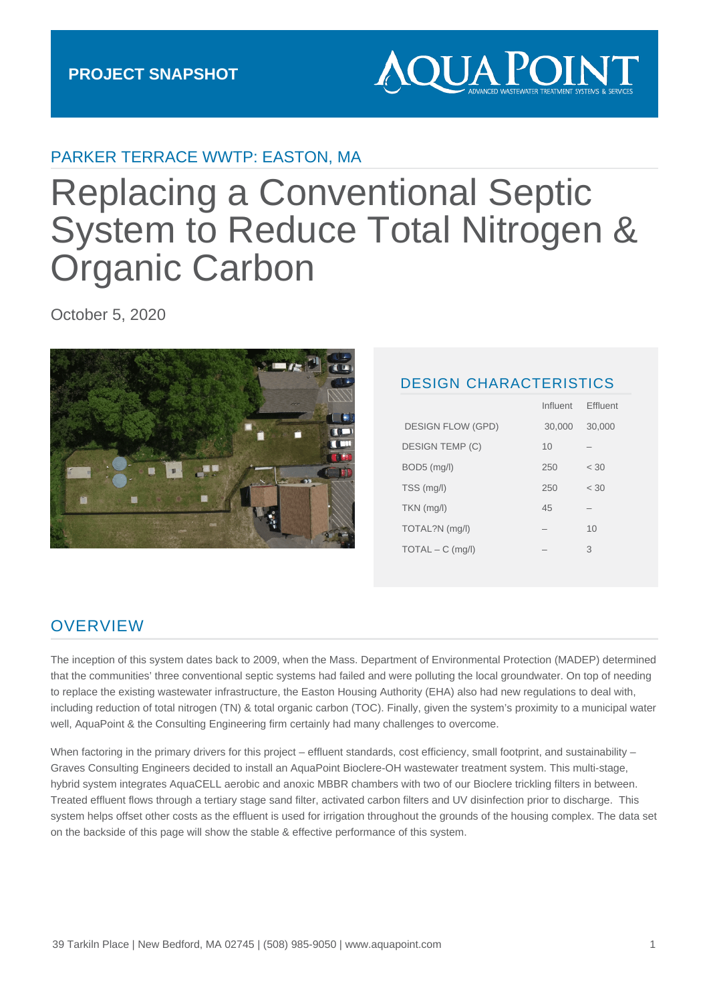# **AQUA POIN**

### PARKER TERRACE WWTP: EASTON, MA

# Replacing a Conventional Septic System to Reduce Total Nitrogen & Organic Carbon

October 5, 2020



#### DESIGN CHARACTERISTICS

Influent Effluent

|                          | <u></u> | <u>Liiuvin</u> |
|--------------------------|---------|----------------|
| <b>DESIGN FLOW (GPD)</b> | 30,000  | 30,000         |
| DESIGN TEMP (C)          | 10      |                |
| BOD5 (mg/l)              | 250     | < 30           |
| TSS (mg/l)               | 250     | < 30           |
| $TKN$ (mg/l)             | 45      |                |
| TOTAL?N (mg/l)           |         | 10             |
| $TOTAL - C$ (mg/l)       |         | 3              |
|                          |         |                |

# **OVERVIEW**

The inception of this system dates back to 2009, when the Mass. Department of Environmental Protection (MADEP) determined that the communities' three conventional septic systems had failed and were polluting the local groundwater. On top of needing to replace the existing wastewater infrastructure, the Easton Housing Authority (EHA) also had new regulations to deal with, including reduction of total nitrogen (TN) & total organic carbon (TOC). Finally, given the system's proximity to a municipal water well, AquaPoint & the Consulting Engineering firm certainly had many challenges to overcome.

When factoring in the primary drivers for this project – effluent standards, cost efficiency, small footprint, and sustainability – Graves Consulting Engineers decided to install an AquaPoint Bioclere-OH wastewater treatment system. This multi-stage, hybrid system integrates AquaCELL aerobic and anoxic MBBR chambers with two of our Bioclere trickling filters in between. Treated effluent flows through a tertiary stage sand filter, activated carbon filters and UV disinfection prior to discharge. This system helps offset other costs as the effluent is used for irrigation throughout the grounds of the housing complex. The data set on the backside of this page will show the stable & effective performance of this system.